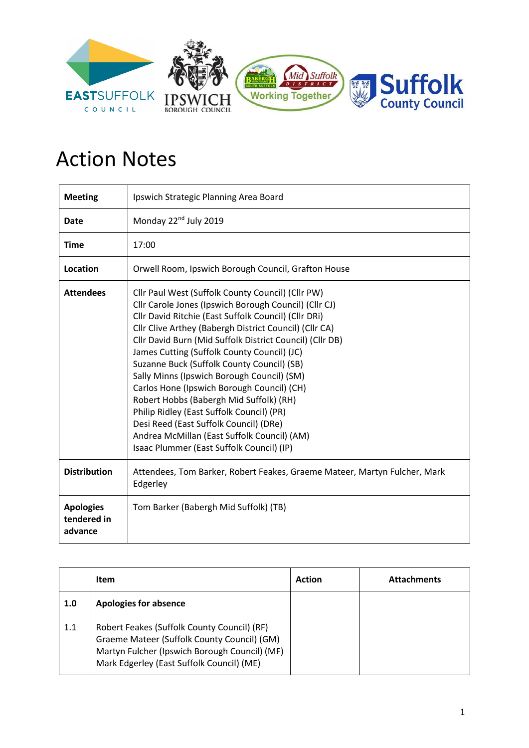

## Action Notes

| <b>Meeting</b>                             | Ipswich Strategic Planning Area Board                                                                                                                                                                                                                                                                                                                                                                                                                                                                                                                                                                                                                                                                           |
|--------------------------------------------|-----------------------------------------------------------------------------------------------------------------------------------------------------------------------------------------------------------------------------------------------------------------------------------------------------------------------------------------------------------------------------------------------------------------------------------------------------------------------------------------------------------------------------------------------------------------------------------------------------------------------------------------------------------------------------------------------------------------|
| Date                                       | Monday 22 <sup>nd</sup> July 2019                                                                                                                                                                                                                                                                                                                                                                                                                                                                                                                                                                                                                                                                               |
| <b>Time</b>                                | 17:00                                                                                                                                                                                                                                                                                                                                                                                                                                                                                                                                                                                                                                                                                                           |
| Location                                   | Orwell Room, Ipswich Borough Council, Grafton House                                                                                                                                                                                                                                                                                                                                                                                                                                                                                                                                                                                                                                                             |
| <b>Attendees</b>                           | Cllr Paul West (Suffolk County Council) (Cllr PW)<br>Cllr Carole Jones (Ipswich Borough Council) (Cllr CJ)<br>Cllr David Ritchie (East Suffolk Council) (Cllr DRi)<br>Cllr Clive Arthey (Babergh District Council) (Cllr CA)<br>Cllr David Burn (Mid Suffolk District Council) (Cllr DB)<br>James Cutting (Suffolk County Council) (JC)<br>Suzanne Buck (Suffolk County Council) (SB)<br>Sally Minns (Ipswich Borough Council) (SM)<br>Carlos Hone (Ipswich Borough Council) (CH)<br>Robert Hobbs (Babergh Mid Suffolk) (RH)<br>Philip Ridley (East Suffolk Council) (PR)<br>Desi Reed (East Suffolk Council) (DRe)<br>Andrea McMillan (East Suffolk Council) (AM)<br>Isaac Plummer (East Suffolk Council) (IP) |
| <b>Distribution</b>                        | Attendees, Tom Barker, Robert Feakes, Graeme Mateer, Martyn Fulcher, Mark<br>Edgerley                                                                                                                                                                                                                                                                                                                                                                                                                                                                                                                                                                                                                           |
| <b>Apologies</b><br>tendered in<br>advance | Tom Barker (Babergh Mid Suffolk) (TB)                                                                                                                                                                                                                                                                                                                                                                                                                                                                                                                                                                                                                                                                           |

|     | Item                                                                                                                                                                                     | <b>Action</b> | <b>Attachments</b> |
|-----|------------------------------------------------------------------------------------------------------------------------------------------------------------------------------------------|---------------|--------------------|
| 1.0 | <b>Apologies for absence</b>                                                                                                                                                             |               |                    |
| 1.1 | Robert Feakes (Suffolk County Council) (RF)<br>Graeme Mateer (Suffolk County Council) (GM)<br>Martyn Fulcher (Ipswich Borough Council) (MF)<br>Mark Edgerley (East Suffolk Council) (ME) |               |                    |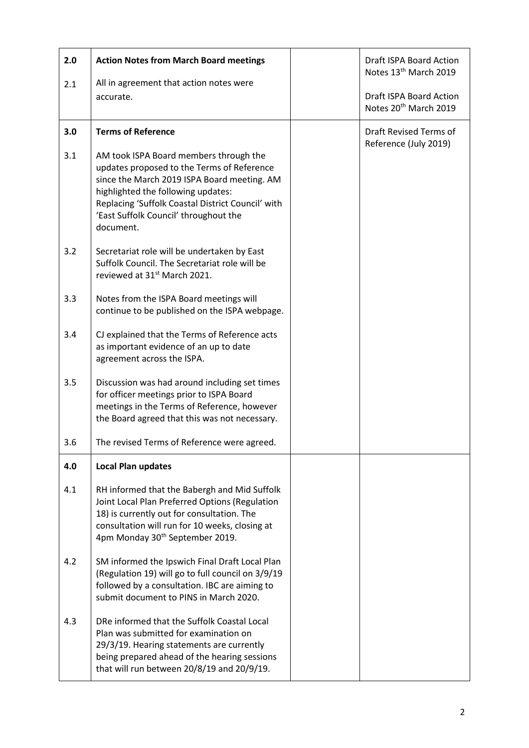| 2.0 | <b>Action Notes from March Board meetings</b>                                                                                                                                                                                                                                        | Draft ISPA Board Action<br>Notes 13 <sup>th</sup> March 2019 |
|-----|--------------------------------------------------------------------------------------------------------------------------------------------------------------------------------------------------------------------------------------------------------------------------------------|--------------------------------------------------------------|
| 2.1 | All in agreement that action notes were<br>accurate.                                                                                                                                                                                                                                 | Draft ISPA Board Action<br>Notes 20 <sup>th</sup> March 2019 |
| 3.0 | <b>Terms of Reference</b>                                                                                                                                                                                                                                                            | Draft Revised Terms of<br>Reference (July 2019)              |
| 3.1 | AM took ISPA Board members through the<br>updates proposed to the Terms of Reference<br>since the March 2019 ISPA Board meeting. AM<br>highlighted the following updates:<br>Replacing 'Suffolk Coastal District Council' with<br>'East Suffolk Council' throughout the<br>document. |                                                              |
| 3.2 | Secretariat role will be undertaken by East<br>Suffolk Council. The Secretariat role will be<br>reviewed at 31st March 2021.                                                                                                                                                         |                                                              |
| 3.3 | Notes from the ISPA Board meetings will<br>continue to be published on the ISPA webpage.                                                                                                                                                                                             |                                                              |
| 3.4 | CJ explained that the Terms of Reference acts<br>as important evidence of an up to date<br>agreement across the ISPA.                                                                                                                                                                |                                                              |
| 3.5 | Discussion was had around including set times<br>for officer meetings prior to ISPA Board<br>meetings in the Terms of Reference, however<br>the Board agreed that this was not necessary.                                                                                            |                                                              |
| 3.6 | The revised Terms of Reference were agreed.                                                                                                                                                                                                                                          |                                                              |
| 4.0 | <b>Local Plan updates</b>                                                                                                                                                                                                                                                            |                                                              |
| 4.1 | RH informed that the Babergh and Mid Suffolk<br>Joint Local Plan Preferred Options (Regulation<br>18) is currently out for consultation. The<br>consultation will run for 10 weeks, closing at<br>4pm Monday 30 <sup>th</sup> September 2019.                                        |                                                              |
| 4.2 | SM informed the Ipswich Final Draft Local Plan<br>(Regulation 19) will go to full council on 3/9/19<br>followed by a consultation. IBC are aiming to<br>submit document to PINS in March 2020.                                                                                       |                                                              |
| 4.3 | DRe informed that the Suffolk Coastal Local<br>Plan was submitted for examination on<br>29/3/19. Hearing statements are currently<br>being prepared ahead of the hearing sessions<br>that will run between 20/8/19 and 20/9/19.                                                      |                                                              |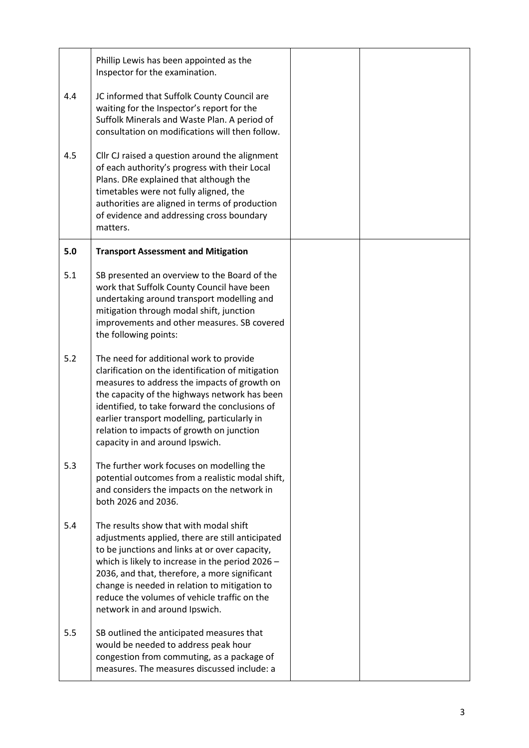|     | Phillip Lewis has been appointed as the<br>Inspector for the examination.                                                                                                                                                                                                                                                                                                              |  |
|-----|----------------------------------------------------------------------------------------------------------------------------------------------------------------------------------------------------------------------------------------------------------------------------------------------------------------------------------------------------------------------------------------|--|
| 4.4 | JC informed that Suffolk County Council are<br>waiting for the Inspector's report for the<br>Suffolk Minerals and Waste Plan. A period of<br>consultation on modifications will then follow.                                                                                                                                                                                           |  |
| 4.5 | Cllr CJ raised a question around the alignment<br>of each authority's progress with their Local<br>Plans. DRe explained that although the<br>timetables were not fully aligned, the<br>authorities are aligned in terms of production<br>of evidence and addressing cross boundary<br>matters.                                                                                         |  |
| 5.0 | <b>Transport Assessment and Mitigation</b>                                                                                                                                                                                                                                                                                                                                             |  |
| 5.1 | SB presented an overview to the Board of the<br>work that Suffolk County Council have been<br>undertaking around transport modelling and<br>mitigation through modal shift, junction<br>improvements and other measures. SB covered<br>the following points:                                                                                                                           |  |
| 5.2 | The need for additional work to provide<br>clarification on the identification of mitigation<br>measures to address the impacts of growth on<br>the capacity of the highways network has been<br>identified, to take forward the conclusions of<br>earlier transport modelling, particularly in<br>relation to impacts of growth on junction<br>capacity in and around Ipswich.        |  |
| 5.3 | The further work focuses on modelling the<br>potential outcomes from a realistic modal shift,<br>and considers the impacts on the network in<br>both 2026 and 2036.                                                                                                                                                                                                                    |  |
| 5.4 | The results show that with modal shift<br>adjustments applied, there are still anticipated<br>to be junctions and links at or over capacity,<br>which is likely to increase in the period $2026 -$<br>2036, and that, therefore, a more significant<br>change is needed in relation to mitigation to<br>reduce the volumes of vehicle traffic on the<br>network in and around Ipswich. |  |
| 5.5 | SB outlined the anticipated measures that<br>would be needed to address peak hour<br>congestion from commuting, as a package of<br>measures. The measures discussed include: a                                                                                                                                                                                                         |  |